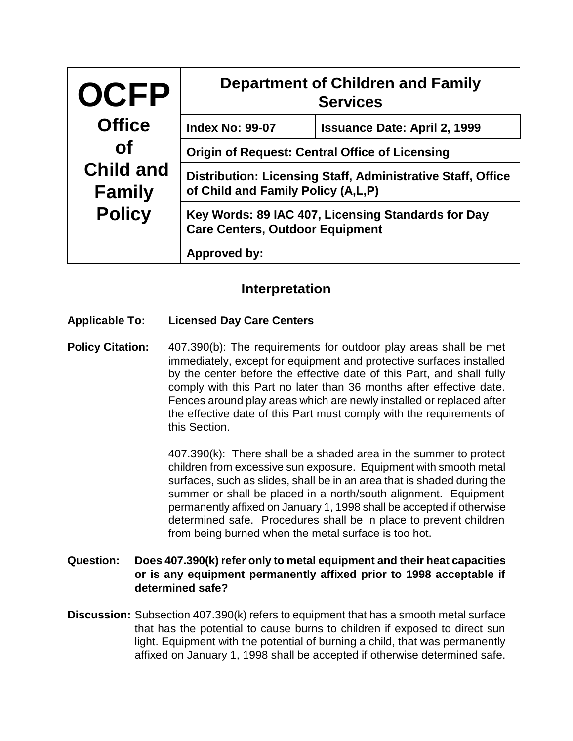| <b>OCFP</b>                                        | <b>Department of Children and Family</b><br><b>Services</b>                                       |                                     |  |
|----------------------------------------------------|---------------------------------------------------------------------------------------------------|-------------------------------------|--|
| <b>Office</b>                                      | <b>Index No: 99-07</b>                                                                            | <b>Issuance Date: April 2, 1999</b> |  |
| <b>of</b>                                          | <b>Origin of Request: Central Office of Licensing</b>                                             |                                     |  |
| <b>Child and</b><br><b>Family</b><br><b>Policy</b> | Distribution: Licensing Staff, Administrative Staff, Office<br>of Child and Family Policy (A,L,P) |                                     |  |
|                                                    | Key Words: 89 IAC 407, Licensing Standards for Day<br><b>Care Centers, Outdoor Equipment</b>      |                                     |  |
|                                                    | Approved by:                                                                                      |                                     |  |

## **Interpretation**

## **Applicable To: Licensed Day Care Centers**

**Policy Citation:** 407.390(b): The requirements for outdoor play areas shall be met immediately, except for equipment and protective surfaces installed by the center before the effective date of this Part, and shall fully comply with this Part no later than 36 months after effective date. Fences around play areas which are newly installed or replaced after the effective date of this Part must comply with the requirements of this Section.

> 407.390(k): There shall be a shaded area in the summer to protect children from excessive sun exposure. Equipment with smooth metal surfaces, such as slides, shall be in an area that is shaded during the summer or shall be placed in a north/south alignment. Equipment permanently affixed on January 1, 1998 shall be accepted if otherwise determined safe. Procedures shall be in place to prevent children from being burned when the metal surface is too hot.

## **Question: Does 407.390(k) refer only to metal equipment and their heat capacities or is any equipment permanently affixed prior to 1998 acceptable if determined safe?**

**Discussion:** Subsection 407.390(k) refers to equipment that has a smooth metal surface that has the potential to cause burns to children if exposed to direct sun light. Equipment with the potential of burning a child, that was permanently affixed on January 1, 1998 shall be accepted if otherwise determined safe.